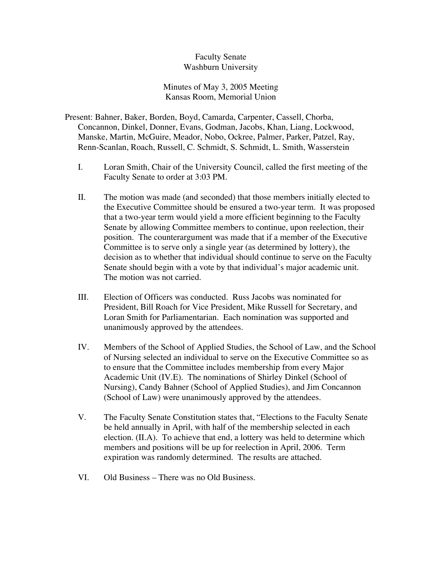## Faculty Senate Washburn University

## Minutes of May 3, 2005 Meeting Kansas Room, Memorial Union

Present: Bahner, Baker, Borden, Boyd, Camarda, Carpenter, Cassell, Chorba, Concannon, Dinkel, Donner, Evans, Godman, Jacobs, Khan, Liang, Lockwood, Manske, Martin, McGuire, Meador, Nobo, Ockree, Palmer, Parker, Patzel, Ray, Renn-Scanlan, Roach, Russell, C. Schmidt, S. Schmidt, L. Smith, Wasserstein

- I. Loran Smith, Chair of the University Council, called the first meeting of the Faculty Senate to order at 3:03 PM.
- II. The motion was made (and seconded) that those members initially elected to the Executive Committee should be ensured a two-year term. It was proposed that a two-year term would yield a more efficient beginning to the Faculty Senate by allowing Committee members to continue, upon reelection, their position. The counterargument was made that if a member of the Executive Committee is to serve only a single year (as determined by lottery), the decision as to whether that individual should continue to serve on the Faculty Senate should begin with a vote by that individual's major academic unit. The motion was not carried.
- III. Election of Officers was conducted. Russ Jacobs was nominated for President, Bill Roach for Vice President, Mike Russell for Secretary, and Loran Smith for Parliamentarian. Each nomination was supported and unanimously approved by the attendees.
- IV. Members of the School of Applied Studies, the School of Law, and the School of Nursing selected an individual to serve on the Executive Committee so as to ensure that the Committee includes membership from every Major Academic Unit (IV.E). The nominations of Shirley Dinkel (School of Nursing), Candy Bahner (School of Applied Studies), and Jim Concannon (School of Law) were unanimously approved by the attendees.
- V. The Faculty Senate Constitution states that, "Elections to the Faculty Senate be held annually in April, with half of the membership selected in each election. (II.A). To achieve that end, a lottery was held to determine which members and positions will be up for reelection in April, 2006. Term expiration was randomly determined. The results are attached.
- VI. Old Business There was no Old Business.